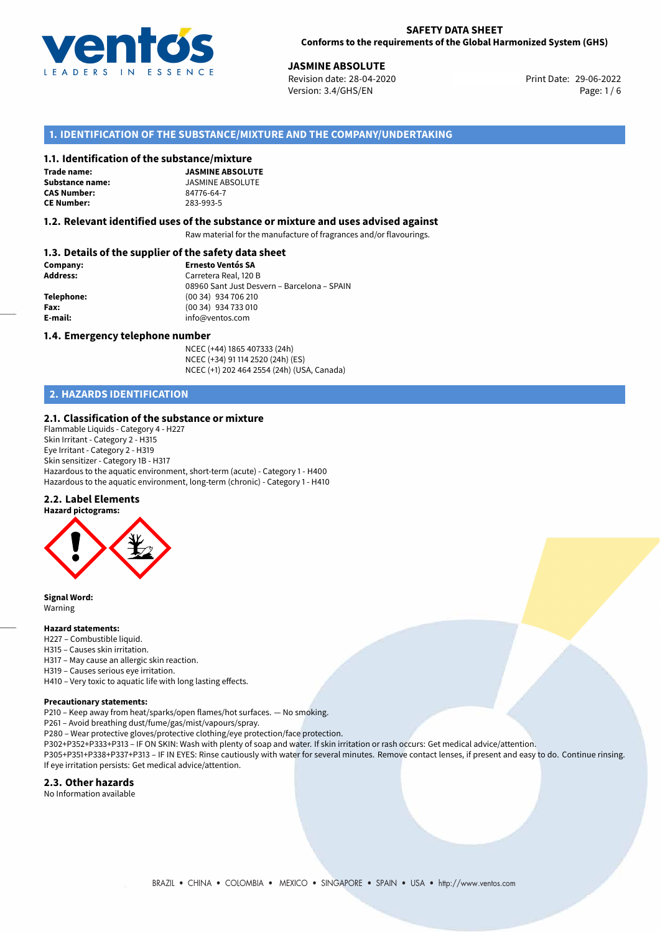

**JASMINE ABSOLUTE**<br>
Revision date: 28-04-2020 **Absolute Print Date: 29-06-2022** Version: 3.4/GHS/EN Page: 1 / 6

# **1. IDENTIFICATION OF THE SUBSTANCE/MIXTURE AND THE COMPANY/UNDERTAKING**

#### **1.1. Identification of the substance/mixture**

**Trade name: CAS Number: CE Number:** 283-993-5

**JASMINE ABSOLUTE Substance name:**  $34776-64-7$ <br>**CAS Number:**  $84776-64-7$ 

#### **1.2. Relevant identified uses of the substance or mixture and uses advised against**

Raw material for the manufacture of fragrances and/or flavourings.

### **1.3. Details of the supplier of the safety data sheet**

| Company:        | <b>Ernesto Ventós SA</b>                    |
|-----------------|---------------------------------------------|
| <b>Address:</b> | Carretera Real, 120 B                       |
|                 | 08960 Sant Just Desvern - Barcelona - SPAIN |
| Telephone:      | (00 34) 934 706 210                         |
| Fax:            | (00 34) 934 733 010                         |
| E-mail:         | info@ventos.com                             |
|                 |                                             |

#### **1.4. Emergency telephone number**

NCEC (+44) 1865 407333 (24h) NCEC (+34) 91 114 2520 (24h) (ES) NCEC (+1) 202 464 2554 (24h) (USA, Canada)

# **2. HAZARDS IDENTIFICATION**

#### **2.1. Classification of the substance or mixture**

Flammable Liquids - Category 4 - H227 Skin Irritant - Category 2 - H315 Eye Irritant - Category 2 - H319 Skin sensitizer - Category 1B - H317 Hazardous to the aquatic environment, short-term (acute) - Category 1 - H400 Hazardous to the aquatic environment, long-term (chronic) - Category 1 - H410

#### **2.2. Label Elements**



**Signal Word:** Warning

#### **Hazard statements:**

- H227 Combustible liquid.
- H315 Causes skin irritation.
- H317 May cause an allergic skin reaction.
- H319 Causes serious eye irritation.

H410 – Very toxic to aquatic life with long lasting effects.

#### **Precautionary statements:**

P210 – Keep away from heat/sparks/open flames/hot surfaces. — No smoking.

P261 – Avoid breathing dust/fume/gas/mist/vapours/spray.

- P280 Wear protective gloves/protective clothing/eye protection/face protection.
- P302+P352+P333+P313 IF ON SKIN: Wash with plenty of soap and water. If skin irritation or rash occurs: Get medical advice/attention.

P305+P351+P338+P337+P313 – IF IN EYES: Rinse cautiously with water for several minutes. Remove contact lenses, if present and easy to do. Continue rinsing. If eye irritation persists: Get medical advice/attention.

#### **2.3. Other hazards**

No Information available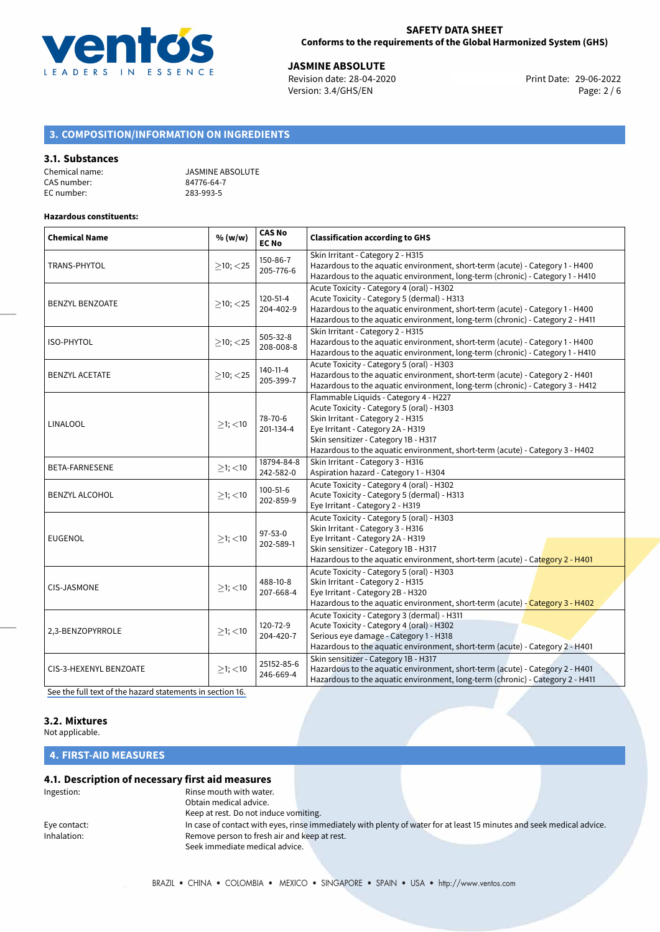

**JASMINE ABSOLUTE**<br>
Revision date: 28-04-2020 **Print Date: 29-06-2022** Version: 3.4/GHS/EN Page: 2 / 6

# **3. COMPOSITION/INFORMATION ON INGREDIENTS**

#### **3.1. Substances**

| Chemical name: | <b>JASMINE ABSOLUTE</b> |
|----------------|-------------------------|
| CAS number:    | 84776-64-7              |
| EC number:     | 283-993-5               |

#### **Hazardous constituents:**

| <b>Chemical Name</b>   | % (w/w)        | <b>CAS No</b><br><b>EC No</b> | <b>Classification according to GHS</b>                                                                                                                                                                                                                                               |
|------------------------|----------------|-------------------------------|--------------------------------------------------------------------------------------------------------------------------------------------------------------------------------------------------------------------------------------------------------------------------------------|
| TRANS-PHYTOL           | $>10$ ; $<$ 25 | 150-86-7<br>205-776-6         | Skin Irritant - Category 2 - H315<br>Hazardous to the aquatic environment, short-term (acute) - Category 1 - H400<br>Hazardous to the aquatic environment, long-term (chronic) - Category 1 - H410                                                                                   |
| <b>BENZYL BENZOATE</b> | $\geq$ 10; <25 | 120-51-4<br>204-402-9         | Acute Toxicity - Category 4 (oral) - H302<br>Acute Toxicity - Category 5 (dermal) - H313<br>Hazardous to the aquatic environment, short-term (acute) - Category 1 - H400<br>Hazardous to the aquatic environment, long-term (chronic) - Category 2 - H411                            |
| <b>ISO-PHYTOL</b>      | $>10$ ; $<$ 25 | 505-32-8<br>208-008-8         | Skin Irritant - Category 2 - H315<br>Hazardous to the aquatic environment, short-term (acute) - Category 1 - H400<br>Hazardous to the aquatic environment, long-term (chronic) - Category 1 - H410                                                                                   |
| <b>BENZYL ACETATE</b>  | $\geq$ 10; <25 | 140-11-4<br>205-399-7         | Acute Toxicity - Category 5 (oral) - H303<br>Hazardous to the aquatic environment, short-term (acute) - Category 2 - H401<br>Hazardous to the aquatic environment, long-term (chronic) - Category 3 - H412                                                                           |
| LINALOOL               | $>1$ ; <10     | 78-70-6<br>201-134-4          | Flammable Liquids - Category 4 - H227<br>Acute Toxicity - Category 5 (oral) - H303<br>Skin Irritant - Category 2 - H315<br>Eye Irritant - Category 2A - H319<br>Skin sensitizer - Category 1B - H317<br>Hazardous to the aquatic environment, short-term (acute) - Category 3 - H402 |
| BETA-FARNESENE         | $≥1;$ < 10     | 18794-84-8<br>242-582-0       | Skin Irritant - Category 3 - H316<br>Aspiration hazard - Category 1 - H304                                                                                                                                                                                                           |
| <b>BENZYL ALCOHOL</b>  | $>1$ ; <10     | $100 - 51 - 6$<br>202-859-9   | Acute Toxicity - Category 4 (oral) - H302<br>Acute Toxicity - Category 5 (dermal) - H313<br>Eye Irritant - Category 2 - H319                                                                                                                                                         |
| <b>EUGENOL</b>         | $>1$ ; <10     | $97 - 53 - 0$<br>202-589-1    | Acute Toxicity - Category 5 (oral) - H303<br>Skin Irritant - Category 3 - H316<br>Eye Irritant - Category 2A - H319<br>Skin sensitizer - Category 1B - H317<br>Hazardous to the aquatic environment, short-term (acute) - Category 2 - H401                                          |
| <b>CIS-JASMONE</b>     | $>1$ ; <10     | 488-10-8<br>207-668-4         | Acute Toxicity - Category 5 (oral) - H303<br>Skin Irritant - Category 2 - H315<br>Eye Irritant - Category 2B - H320<br>Hazardous to the aquatic environment, short-term (acute) - Category 3 - H402                                                                                  |
| 2,3-BENZOPYRROLE       | $>1$ ; $<$ 10  | 120-72-9<br>204-420-7         | Acute Toxicity - Category 3 (dermal) - H311<br>Acute Toxicity - Category 4 (oral) - H302<br>Serious eye damage - Category 1 - H318<br>Hazardous to the aquatic environment, short-term (acute) - Category 2 - H401                                                                   |
| CIS-3-HEXENYL BENZOATE | $>1$ ; $<$ 10  | 25152-85-6<br>246-669-4       | Skin sensitizer - Category 1B - H317<br>Hazardous to the aquatic environment, short-term (acute) - Category 2 - H401<br>Hazardous to the aquatic environment, long-term (chronic) - Category 2 - H411                                                                                |

[See the full text of the hazard statements in section 16.](#page-4-0)

# **3.2. Mixtures**

#### Not applicable.

**4. FIRST-AID MEASURES**

# **4.1. Description of necessary first aid measures**

| Ingestion:   | Rinse mouth with water.<br>Obtain medical advice. |                                                                                                                       |  |
|--------------|---------------------------------------------------|-----------------------------------------------------------------------------------------------------------------------|--|
|              | Keep at rest. Do not induce vomiting.             |                                                                                                                       |  |
| Eye contact: |                                                   | In case of contact with eyes, rinse immediately with plenty of water for at least 15 minutes and seek medical advice. |  |
| Inhalation:  | Remove person to fresh air and keep at rest.      |                                                                                                                       |  |
|              | Seek immediate medical advice.                    |                                                                                                                       |  |
|              |                                                   |                                                                                                                       |  |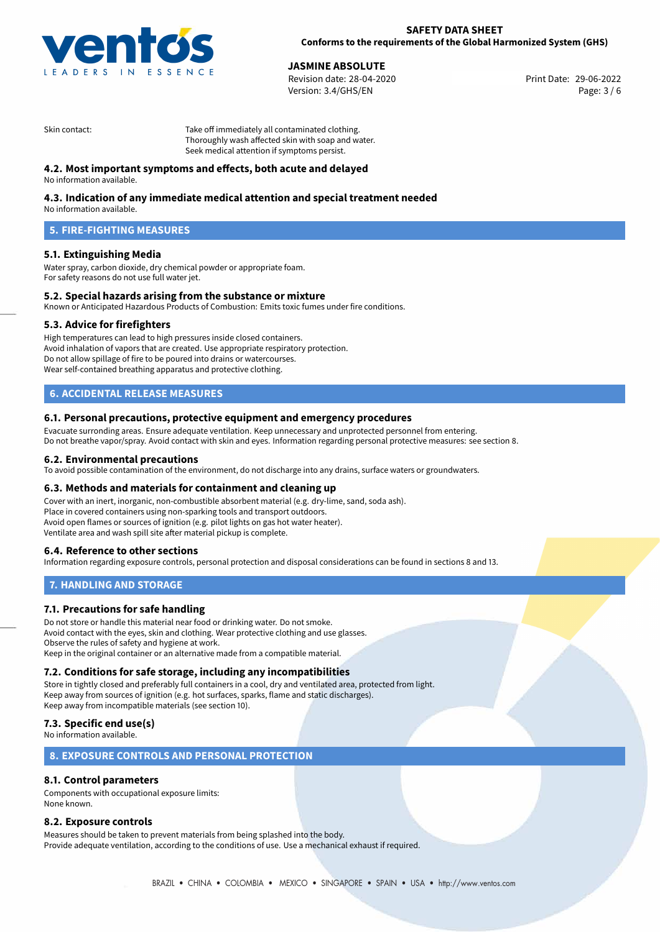

**JASMINE ABSOLUTE**<br>
Revision date: 28-04-2020<br> **Print Date: 29-06-2022** Revision date: 28-04-2020 Version: 3.4/GHS/EN Page: 3 / 6

Skin contact: Take off immediately all contaminated clothing. Thoroughly wash affected skin with soap and water. Seek medical attention if symptoms persist.

# **4.2. Most important symptoms and effects, both acute and delayed**

No information available.

# **4.3. Indication of any immediate medical attention and special treatment needed**

No information available.

# **5. FIRE-FIGHTING MEASURES**

### **5.1. Extinguishing Media**

Water spray, carbon dioxide, dry chemical powder or appropriate foam. For safety reasons do not use full water jet.

#### **5.2. Special hazards arising from the substance or mixture**

Known or Anticipated Hazardous Products of Combustion: Emits toxic fumes under fire conditions.

#### **5.3. Advice for firefighters**

High temperatures can lead to high pressures inside closed containers. Avoid inhalation of vapors that are created. Use appropriate respiratory protection. Do not allow spillage of fire to be poured into drains or watercourses. Wear self-contained breathing apparatus and protective clothing.

# **6. ACCIDENTAL RELEASE MEASURES**

#### **6.1. Personal precautions, protective equipment and emergency procedures**

Evacuate surronding areas. Ensure adequate ventilation. Keep unnecessary and unprotected personnel from entering. Do not breathe vapor/spray. Avoid contact with skin and eyes. Information regarding personal protective measures: see section 8.

#### **6.2. Environmental precautions**

To avoid possible contamination of the environment, do not discharge into any drains, surface waters or groundwaters.

#### **6.3. Methods and materials for containment and cleaning up**

Cover with an inert, inorganic, non-combustible absorbent material (e.g. dry-lime, sand, soda ash). Place in covered containers using non-sparking tools and transport outdoors. Avoid open flames or sources of ignition (e.g. pilot lights on gas hot water heater). Ventilate area and wash spill site after material pickup is complete.

#### **6.4. Reference to other sections**

Information regarding exposure controls, personal protection and disposal considerations can be found in sections 8 and 13.

#### **7. HANDLING AND STORAGE**

#### **7.1. Precautions for safe handling**

Do not store or handle this material near food or drinking water. Do not smoke. Avoid contact with the eyes, skin and clothing. Wear protective clothing and use glasses. Observe the rules of safety and hygiene at work. Keep in the original container or an alternative made from a compatible material.

#### **7.2. Conditions for safe storage, including any incompatibilities**

Store in tightly closed and preferably full containers in a cool, dry and ventilated area, protected from light. Keep away from sources of ignition (e.g. hot surfaces, sparks, flame and static discharges). Keep away from incompatible materials (see section 10).

### **7.3. Specific end use(s)**

No information available.

#### **8. EXPOSURE CONTROLS AND PERSONAL PROTECTION**

### **8.1. Control parameters**

Components with occupational exposure limits: None known.

#### **8.2. Exposure controls**

Measures should be taken to prevent materials from being splashed into the body. Provide adequate ventilation, according to the conditions of use. Use a mechanical exhaust if required.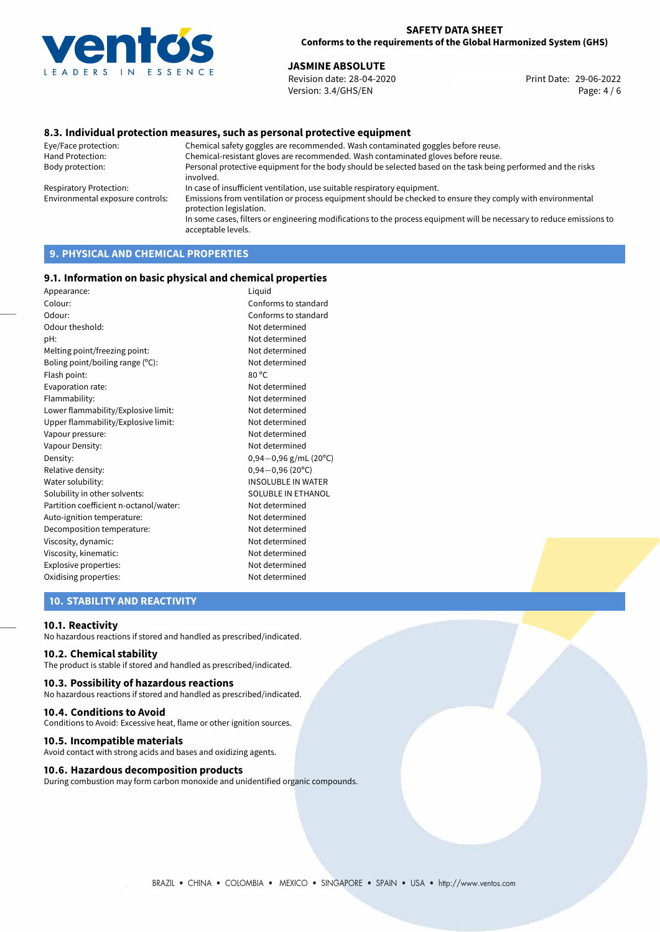

#### **SAFETY DATA SHEET Conforms to the requirements of the Global Harmonized System (GHS)**

# **JASMINE ABSOLUTE**<br>
Revision date: 28-04-2020<br> **Print Date: 29-06-2022**

Revision date: 28-04-2020 Version: 3.4/GHS/EN Page: 4 / 6

#### **8.3. Individual protection measures, such as personal protective equipment**

Eye/Face protection: Chemical safety goggles are recommended. Wash contaminated goggles before reuse. Chemical-resistant gloves are recommended. Wash contaminated gloves before reuse. Body protection: Personal protective equipment for the body should be selected based on the task being performed and the risks involved. Respiratory Protection: In case of insufficient ventilation, use suitable respiratory equipment. Environmental exposure controls: Emissions from ventilation or process equipment should be checked to ensure they comply with environmental protection legislation. In some cases, filters or engineering modifications to the process equipment will be necessary to reduce emissions to acceptable levels.

# **9. PHYSICAL AND CHEMICAL PROPERTIES**

#### **9.1. Information on basic physical and chemical properties**

| Appearance:                            | Liquid                     |
|----------------------------------------|----------------------------|
| Colour:                                | Conforms to standard       |
| Odour:                                 | Conforms to standard       |
| Odour theshold:                        | Not determined             |
| pH:                                    | Not determined             |
| Melting point/freezing point:          | Not determined             |
| Boling point/boiling range (°C):       | Not determined             |
| Flash point:                           | 80 °C                      |
| Evaporation rate:                      | Not determined             |
| Flammability:                          | Not determined             |
| Lower flammability/Explosive limit:    | Not determined             |
| Upper flammability/Explosive limit:    | Not determined             |
| Vapour pressure:                       | Not determined             |
| Vapour Density:                        | Not determined             |
| Density:                               | $0,94-0,96$ g/mL (20°C)    |
| Relative density:                      | $0,94 - 0,96(20^{\circ}C)$ |
| Water solubility:                      | INSOLUBLE IN WATER         |
| Solubility in other solvents:          | SOLUBLE IN ETHANOL         |
| Partition coefficient n-octanol/water: | Not determined             |
| Auto-ignition temperature:             | Not determined             |
| Decomposition temperature:             | Not determined             |
| Viscosity, dynamic:                    | Not determined             |
| Viscosity, kinematic:                  | Not determined             |
| Explosive properties:                  | Not determined             |
| Oxidising properties:                  | Not determined             |
|                                        |                            |

# **10. STABILITY AND REACTIVITY**

#### **10.1. Reactivity**

No hazardous reactions if stored and handled as prescribed/indicated.

### **10.2. Chemical stability**

The product is stable if stored and handled as prescribed/indicated.

#### **10.3. Possibility of hazardous reactions**

No hazardous reactions if stored and handled as prescribed/indicated.

#### **10.4. Conditions to Avoid**

Conditions to Avoid: Excessive heat, flame or other ignition sources.

#### **10.5. Incompatible materials**

Avoid contact with strong acids and bases and oxidizing agents.

#### **10.6. Hazardous decomposition products**

During combustion may form carbon monoxide and unidentified organic compounds.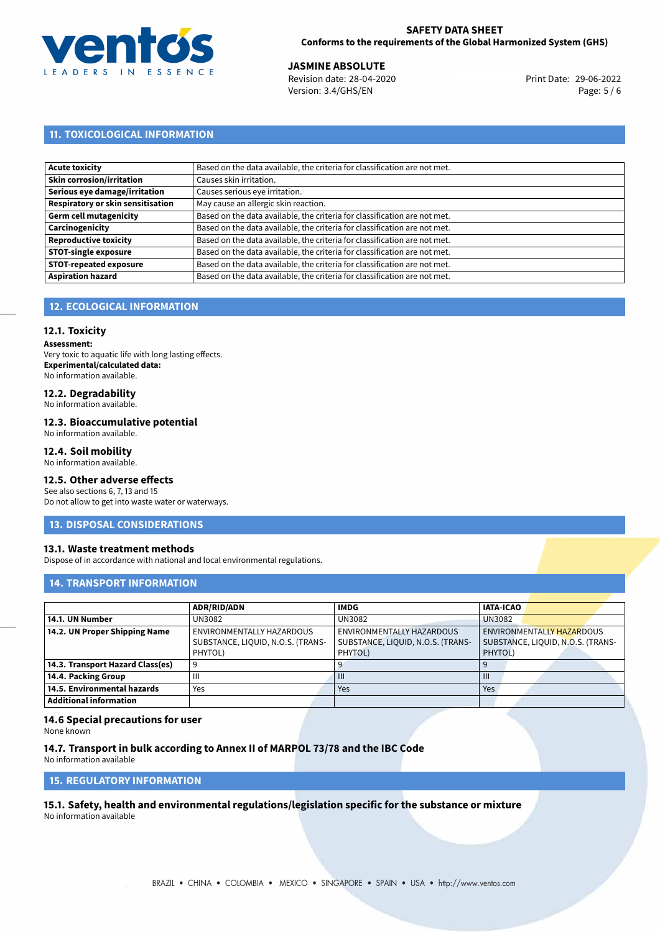

# **SAFETY DATA SHEET Conforms to the requirements of the Global Harmonized System (GHS)**

**JASMINE ABSOLUTE**<br>
Revision date: 28-04-2020 **Print Date: 29-06-2022** Version: 3.4/GHS/EN Page: 5 / 6

# **11. TOXICOLOGICAL INFORMATION**

| Acute toxicity                           | Based on the data available, the criteria for classification are not met. |
|------------------------------------------|---------------------------------------------------------------------------|
| Skin corrosion/irritation                | Causes skin irritation.                                                   |
| Serious eye damage/irritation            | Causes serious eye irritation.                                            |
| <b>Respiratory or skin sensitisation</b> | May cause an allergic skin reaction.                                      |
| Germ cell mutagenicity                   | Based on the data available, the criteria for classification are not met. |
| Carcinogenicity                          | Based on the data available, the criteria for classification are not met. |
| Reproductive toxicity                    | Based on the data available, the criteria for classification are not met. |
| <b>STOT-single exposure</b>              | Based on the data available, the criteria for classification are not met. |
| <b>STOT-repeated exposure</b>            | Based on the data available, the criteria for classification are not met. |
| Aspiration hazard                        | Based on the data available, the criteria for classification are not met. |

# **12. ECOLOGICAL INFORMATION**

#### **12.1. Toxicity**

**Assessment:** Very toxic to aquatic life with long lasting effects. **Experimental/calculated data:** No information available.

# **12.2. Degradability**

No information available.

#### **12.3. Bioaccumulative potential**

No information available.

### **12.4. Soil mobility**

No information available.

### **12.5. Other adverse effects**

See also sections 6, 7, 13 and 15 Do not allow to get into waste water or waterways.

#### **13. DISPOSAL CONSIDERATIONS**

#### **13.1. Waste treatment methods**

Dispose of in accordance with national and local environmental regulations.

#### **14. TRANSPORT INFORMATION**

|                                  | <b>ADR/RID/ADN</b>                | <b>IMDG</b>                       | <b>IATA-ICAO</b>                  |
|----------------------------------|-----------------------------------|-----------------------------------|-----------------------------------|
| 14.1. UN Number                  | UN3082                            | UN3082                            | <b>UN3082</b>                     |
| 14.2. UN Proper Shipping Name    | ENVIRONMENTALLY HAZARDOUS         | ENVIRONMENTALLY HAZARDOUS         | ENVIRONMENTALLY HAZARDOUS         |
|                                  | SUBSTANCE, LIQUID, N.O.S. (TRANS- | SUBSTANCE, LIQUID, N.O.S. (TRANS- | SUBSTANCE, LIQUID, N.O.S. (TRANS- |
|                                  | PHYTOL)                           | PHYTOL)                           | PHYTOL)                           |
| 14.3. Transport Hazard Class(es) |                                   |                                   |                                   |
| 14.4. Packing Group              | Ш                                 | $\mathbf{III}$                    | $\mathbf{m}$                      |
| 14.5. Environmental hazards      | Yes                               | Yes                               | Yes                               |
| Additional information           |                                   |                                   |                                   |

#### **14.6 Special precautions for user**

None known

### **14.7. Transport in bulk according to Annex II of MARPOL 73/78 and the IBC Code**

No information available

# **15. REGULATORY INFORMATION**

<span id="page-4-0"></span>**15.1. Safety, health and environmental regulations/legislation specific for the substance or mixture** No information available